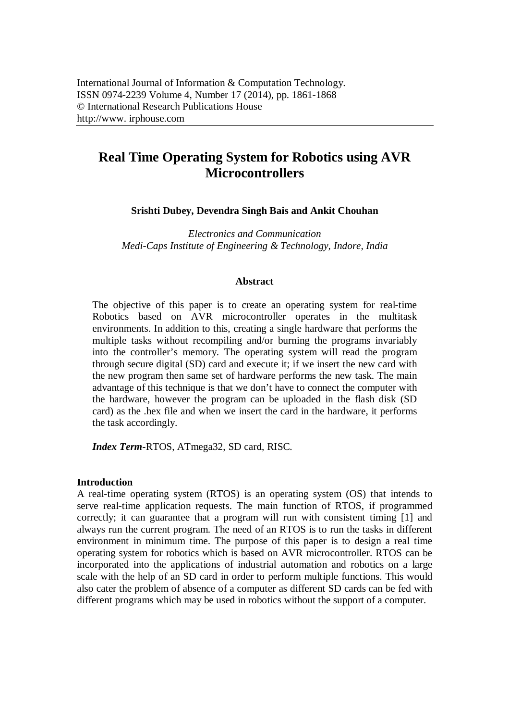# **Real Time Operating System for Robotics using AVR Microcontrollers**

**Srishti Dubey, Devendra Singh Bais and Ankit Chouhan**

*Electronics and Communication Medi-Caps Institute of Engineering & Technology, Indore, India*

#### **Abstract**

The objective of this paper is to create an operating system for real-time Robotics based on AVR microcontroller operates in the multitask environments. In addition to this, creating a single hardware that performs the multiple tasks without recompiling and/or burning the programs invariably into the controller's memory. The operating system will read the program through secure digital (SD) card and execute it; if we insert the new card with the new program then same set of hardware performs the new task. The main advantage of this technique is that we don't have to connect the computer with the hardware, however the program can be uploaded in the flash disk (SD card) as the .hex file and when we insert the card in the hardware, it performs the task accordingly.

*Index Term-*RTOS, ATmega32, SD card, RISC.

## **Introduction**

A real-time operating system (RTOS) is an operating system (OS) that intends to serve real-time application requests. The main function of RTOS, if programmed correctly; it can guarantee that a program will run with consistent timing [1] and always run the current program. The need of an RTOS is to run the tasks in different environment in minimum time. The purpose of this paper is to design a real time operating system for robotics which is based on AVR microcontroller. RTOS can be incorporated into the applications of industrial automation and robotics on a large scale with the help of an SD card in order to perform multiple functions. This would also cater the problem of absence of a computer as different SD cards can be fed with different programs which may be used in robotics without the support of a computer.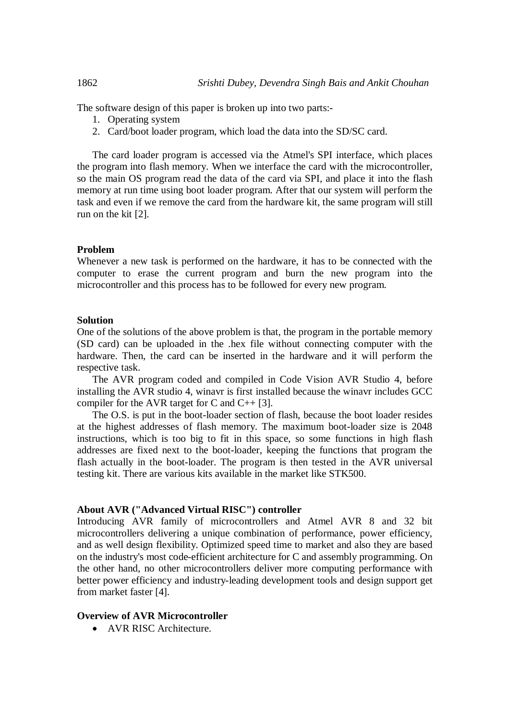The software design of this paper is broken up into two parts:-

- 1. Operating system
- 2. Card/boot loader program, which load the data into the SD/SC card.

The card loader program is accessed via the Atmel's SPI interface, which places the program into flash memory. When we interface the card with the microcontroller, so the main OS program read the data of the card via SPI, and place it into the flash memory at run time using boot loader program. After that our system will perform the task and even if we remove the card from the hardware kit, the same program will still run on the kit [2].

#### **Problem**

Whenever a new task is performed on the hardware, it has to be connected with the computer to erase the current program and burn the new program into the microcontroller and this process has to be followed for every new program.

#### **Solution**

One of the solutions of the above problem is that, the program in the portable memory (SD card) can be uploaded in the .hex file without connecting computer with the hardware. Then, the card can be inserted in the hardware and it will perform the respective task.

The AVR program coded and compiled in Code Vision AVR Studio 4, before installing the AVR studio 4, winavr is first installed because the winavr includes GCC compiler for the AVR target for C and C++ [3].

The O.S. is put in the boot-loader section of flash, because the boot loader resides at the highest addresses of flash memory. The maximum boot-loader size is 2048 instructions, which is too big to fit in this space, so some functions in high flash addresses are fixed next to the boot-loader, keeping the functions that program the flash actually in the boot-loader. The program is then tested in the AVR universal testing kit. There are various kits available in the market like STK500.

#### **About AVR ("Advanced Virtual RISC") controller**

Introducing AVR family of microcontrollers and Atmel AVR 8 and 32 bit microcontrollers delivering a unique combination of performance, power efficiency, and as well design flexibility. Optimized speed time to market and also they are based on the industry's most code-efficient architecture for C and assembly programming. On the other hand, no other microcontrollers deliver more computing performance with better power efficiency and industry-leading development tools and design support get from market faster [4].

#### **Overview of AVR Microcontroller**

• AVR RISC Architecture.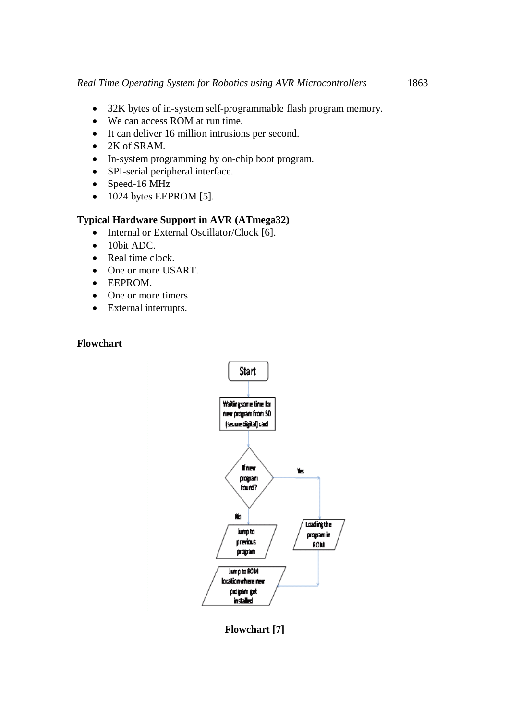- 32K bytes of in-system self-programmable flash program memory.
- We can access ROM at run time.
- It can deliver 16 million intrusions per second.
- $\bullet$  2K of SRAM.
- In-system programming by on-chip boot program.
- SPI-serial peripheral interface.
- Speed-16 MHz
- $\bullet$  1024 bytes EEPROM [5].

# **Typical Hardware Support in AVR (ATmega32)**

- Internal or External Oscillator/Clock [6].
- 10bit ADC.
- Real time clock.
- One or more USART.
- EEPROM.
- One or more timers
- External interrupts.

## **Flowchart**



**Flowchart [7]**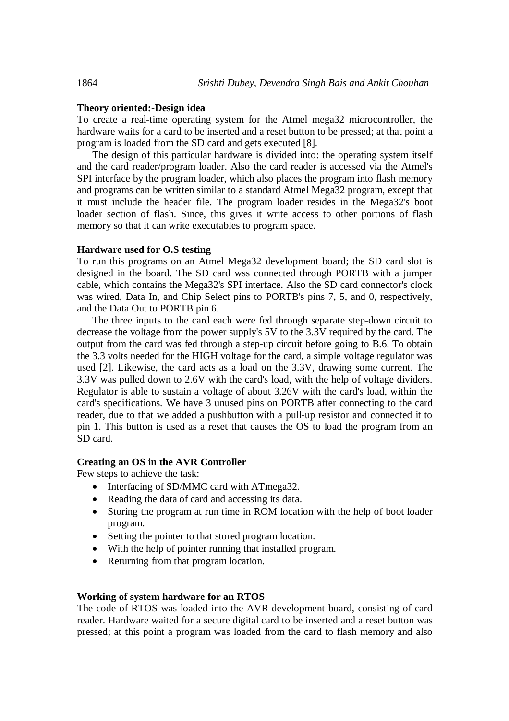#### **Theory oriented:-Design idea**

To create a real-time operating system for the Atmel mega32 microcontroller, the hardware waits for a card to be inserted and a reset button to be pressed; at that point a program is loaded from the SD card and gets executed [8].

The design of this particular hardware is divided into: the operating system itself and the card reader/program loader. Also the card reader is accessed via the Atmel's SPI interface by the program loader, which also places the program into flash memory and programs can be written similar to a standard Atmel Mega32 program, except that it must include the header file. The program loader resides in the Mega32's boot loader section of flash. Since, this gives it write access to other portions of flash memory so that it can write executables to program space.

## **Hardware used for O.S testing**

To run this programs on an Atmel Mega32 development board; the SD card slot is designed in the board. The SD card wss connected through PORTB with a jumper cable, which contains the Mega32's SPI interface. Also the SD card connector's clock was wired, Data In, and Chip Select pins to PORTB's pins 7, 5, and 0, respectively, and the Data Out to PORTB pin 6.

The three inputs to the card each were fed through separate step-down circuit to decrease the voltage from the power supply's 5V to the 3.3V required by the card. The output from the card was fed through a step-up circuit before going to B.6. To obtain the 3.3 volts needed for the HIGH voltage for the card, a simple voltage regulator was used [2]. Likewise, the card acts as a load on the 3.3V, drawing some current. The 3.3V was pulled down to 2.6V with the card's load, with the help of voltage dividers. Regulator is able to sustain a voltage of about 3.26V with the card's load, within the card's specifications. We have 3 unused pins on PORTB after connecting to the card reader, due to that we added a pushbutton with a pull-up resistor and connected it to pin 1. This button is used as a reset that causes the OS to load the program from an SD card.

## **Creating an OS in the AVR Controller**

Few steps to achieve the task:

- Interfacing of SD/MMC card with ATmega32.
- Reading the data of card and accessing its data.
- Storing the program at run time in ROM location with the help of boot loader program.
- Setting the pointer to that stored program location.
- With the help of pointer running that installed program.
- Returning from that program location.

#### **Working of system hardware for an RTOS**

The code of RTOS was loaded into the AVR development board, consisting of card reader. Hardware waited for a secure digital card to be inserted and a reset button was pressed; at this point a program was loaded from the card to flash memory and also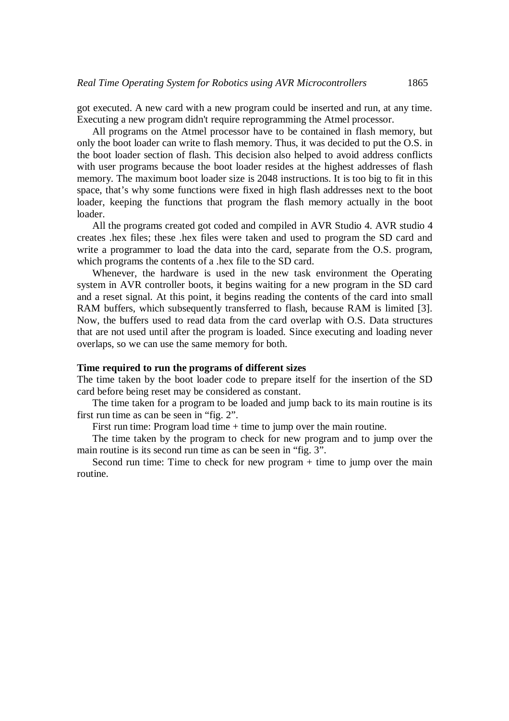got executed. A new card with a new program could be inserted and run, at any time. Executing a new program didn't require reprogramming the Atmel processor.

All programs on the Atmel processor have to be contained in flash memory, but only the boot loader can write to flash memory. Thus, it was decided to put the O.S. in the boot loader section of flash. This decision also helped to avoid address conflicts with user programs because the boot loader resides at the highest addresses of flash memory. The maximum boot loader size is 2048 instructions. It is too big to fit in this space, that's why some functions were fixed in high flash addresses next to the boot loader, keeping the functions that program the flash memory actually in the boot loader.

All the programs created got coded and compiled in AVR Studio 4. AVR studio 4 creates .hex files; these .hex files were taken and used to program the SD card and write a programmer to load the data into the card, separate from the O.S. program, which programs the contents of a .hex file to the SD card.

Whenever, the hardware is used in the new task environment the Operating system in AVR controller boots, it begins waiting for a new program in the SD card and a reset signal. At this point, it begins reading the contents of the card into small RAM buffers, which subsequently transferred to flash, because RAM is limited [3]. Now, the buffers used to read data from the card overlap with O.S. Data structures that are not used until after the program is loaded. Since executing and loading never overlaps, so we can use the same memory for both.

## **Time required to run the programs of different sizes**

The time taken by the boot loader code to prepare itself for the insertion of the SD card before being reset may be considered as constant.

The time taken for a program to be loaded and jump back to its main routine is its first run time as can be seen in "fig. 2".

First run time: Program load time + time to jump over the main routine.

The time taken by the program to check for new program and to jump over the main routine is its second run time as can be seen in "fig. 3".

Second run time: Time to check for new program + time to jump over the main routine.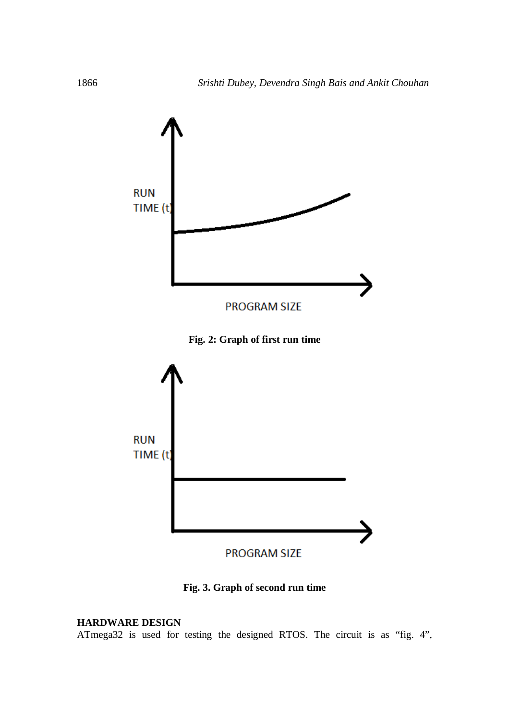

**Fig. 3. Graph of second run time**

#### **HARDWARE DESIGN**

ATmega32 is used for testing the designed RTOS. The circuit is as "fig. 4",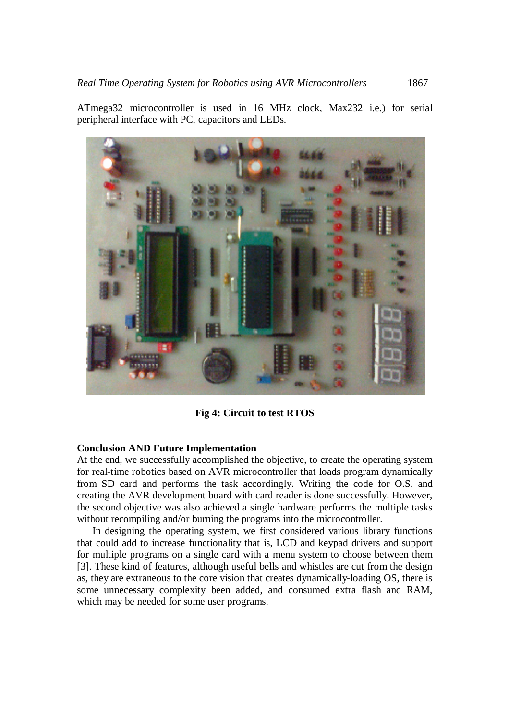ATmega32 microcontroller is used in 16 MHz clock, Max232 i.e.) for serial peripheral interface with PC, capacitors and LEDs.



**Fig 4: Circuit to test RTOS**

## **Conclusion AND Future Implementation**

At the end, we successfully accomplished the objective, to create the operating system for real-time robotics based on AVR microcontroller that loads program dynamically from SD card and performs the task accordingly. Writing the code for O.S. and creating the AVR development board with card reader is done successfully. However, the second objective was also achieved a single hardware performs the multiple tasks without recompiling and/or burning the programs into the microcontroller.

In designing the operating system, we first considered various library functions that could add to increase functionality that is, LCD and keypad drivers and support for multiple programs on a single card with a menu system to choose between them [3]. These kind of features, although useful bells and whistles are cut from the design as, they are extraneous to the core vision that creates dynamically-loading OS, there is some unnecessary complexity been added, and consumed extra flash and RAM, which may be needed for some user programs.